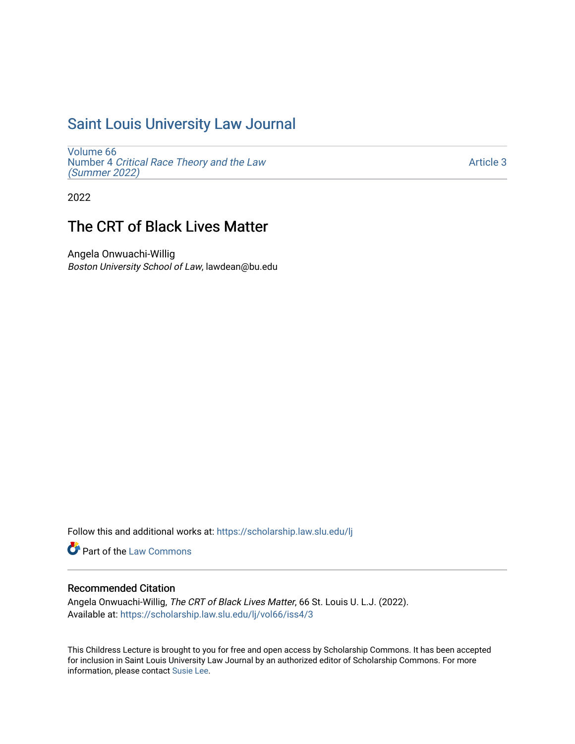## [Saint Louis University Law Journal](https://scholarship.law.slu.edu/lj)

[Volume 66](https://scholarship.law.slu.edu/lj/vol66) Number 4 [Critical Race Theory and the Law](https://scholarship.law.slu.edu/lj/vol66/iss4)  [\(Summer 2022\)](https://scholarship.law.slu.edu/lj/vol66/iss4)

[Article 3](https://scholarship.law.slu.edu/lj/vol66/iss4/3) 

2022

# The CRT of Black Lives Matter

Angela Onwuachi-Willig Boston University School of Law, lawdean@bu.edu

Follow this and additional works at: [https://scholarship.law.slu.edu/lj](https://scholarship.law.slu.edu/lj?utm_source=scholarship.law.slu.edu%2Flj%2Fvol66%2Fiss4%2F3&utm_medium=PDF&utm_campaign=PDFCoverPages) 

Part of the [Law Commons](https://network.bepress.com/hgg/discipline/578?utm_source=scholarship.law.slu.edu%2Flj%2Fvol66%2Fiss4%2F3&utm_medium=PDF&utm_campaign=PDFCoverPages)

## Recommended Citation

Angela Onwuachi-Willig, The CRT of Black Lives Matter, 66 St. Louis U. L.J. (2022). Available at: [https://scholarship.law.slu.edu/lj/vol66/iss4/3](https://scholarship.law.slu.edu/lj/vol66/iss4/3?utm_source=scholarship.law.slu.edu%2Flj%2Fvol66%2Fiss4%2F3&utm_medium=PDF&utm_campaign=PDFCoverPages) 

This Childress Lecture is brought to you for free and open access by Scholarship Commons. It has been accepted for inclusion in Saint Louis University Law Journal by an authorized editor of Scholarship Commons. For more information, please contact [Susie Lee](mailto:susie.lee@slu.edu).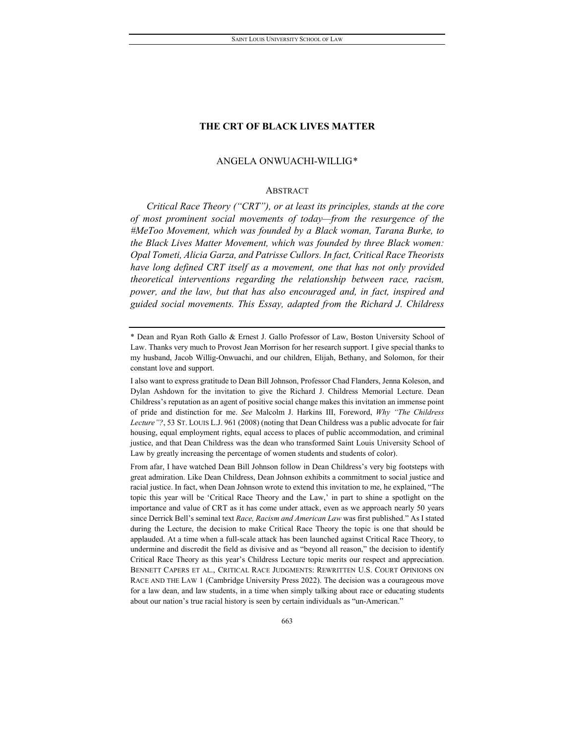## ANGELA ONWUACHI-WILLIG[\\*](#page-1-0)

## ABSTRACT

*Critical Race Theory ("CRT"), or at least its principles, stands at the core of most prominent social movements of today—from the resurgence of the #MeToo Movement, which was founded by a Black woman, Tarana Burke, to the Black Lives Matter Movement, which was founded by three Black women: Opal Tometi, Alicia Garza, and Patrisse Cullors. In fact, Critical Race Theorists have long defined CRT itself as a movement, one that has not only provided theoretical interventions regarding the relationship between race, racism, power, and the law, but that has also encouraged and, in fact, inspired and guided social movements. This Essay, adapted from the Richard J. Childress* 

<span id="page-1-0"></span><sup>\*</sup> Dean and Ryan Roth Gallo & Ernest J. Gallo Professor of Law, Boston University School of Law. Thanks very much to Provost Jean Morrison for her research support. I give special thanks to my husband, Jacob Willig-Onwuachi, and our children, Elijah, Bethany, and Solomon, for their constant love and support.

I also want to express gratitude to Dean Bill Johnson, Professor Chad Flanders, Jenna Koleson, and Dylan Ashdown for the invitation to give the Richard J. Childress Memorial Lecture. Dean Childress's reputation as an agent of positive social change makes this invitation an immense point of pride and distinction for me. *See* Malcolm J. Harkins III, Foreword, *Why "The Childress Lecture"?*, 53 ST. LOUIS L.J. 961 (2008) (noting that Dean Childress was a public advocate for fair housing, equal employment rights, equal access to places of public accommodation, and criminal justice, and that Dean Childress was the dean who transformed Saint Louis University School of Law by greatly increasing the percentage of women students and students of color).

From afar, I have watched Dean Bill Johnson follow in Dean Childress's very big footsteps with great admiration. Like Dean Childress, Dean Johnson exhibits a commitment to social justice and racial justice. In fact, when Dean Johnson wrote to extend this invitation to me, he explained, "The topic this year will be 'Critical Race Theory and the Law,' in part to shine a spotlight on the importance and value of CRT as it has come under attack, even as we approach nearly 50 years since Derrick Bell's seminal text *Race, Racism and American Law* was first published." As I stated during the Lecture, the decision to make Critical Race Theory the topic is one that should be applauded. At a time when a full-scale attack has been launched against Critical Race Theory, to undermine and discredit the field as divisive and as "beyond all reason," the decision to identify Critical Race Theory as this year's Childress Lecture topic merits our respect and appreciation. BENNETT CAPERS ET AL., CRITICAL RACE JUDGMENTS: REWRITTEN U.S. COURT OPINIONS ON RACE AND THE LAW 1 (Cambridge University Press 2022). The decision was a courageous move for a law dean, and law students, in a time when simply talking about race or educating students about our nation's true racial history is seen by certain individuals as "un-American."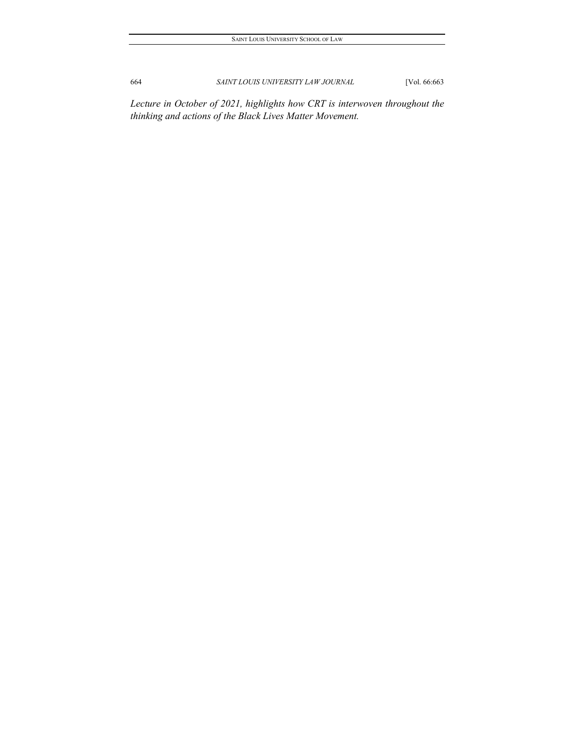*Lecture in October of 2021, highlights how CRT is interwoven throughout the thinking and actions of the Black Lives Matter Movement.*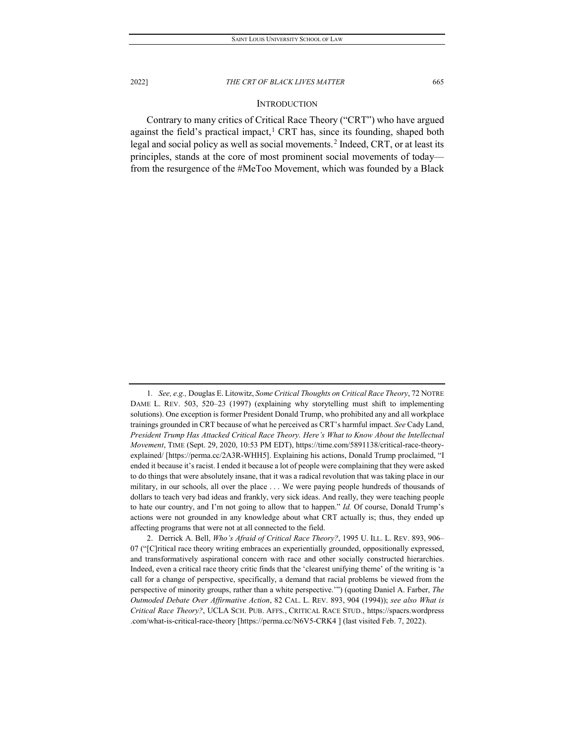## <span id="page-3-2"></span>**INTRODUCTION**

Contrary to many critics of Critical Race Theory ("CRT") who have argued against the field's practical impact, $<sup>1</sup>$  $<sup>1</sup>$  $<sup>1</sup>$  CRT has, since its founding, shaped both</sup> legal and social policy as well as social movements.<sup>[2](#page-3-1)</sup> Indeed, CRT, or at least its principles, stands at the core of most prominent social movements of today from the resurgence of the #MeToo Movement, which was founded by a Black

<span id="page-3-0"></span><sup>1</sup>*. See, e.g.,* Douglas E. Litowitz, *Some Critical Thoughts on Critical Race Theory*, 72 NOTRE DAME L. REV. 503, 520–23 (1997) (explaining why storytelling must shift to implementing solutions). One exception is former President Donald Trump, who prohibited any and all workplace trainings grounded in CRT because of what he perceived as CRT's harmful impact. *See* Cady Land, *President Trump Has Attacked Critical Race Theory. Here's What to Know About the Intellectual Movement*, TIME (Sept. 29, 2020, 10:53 PM EDT), https://time.com/5891138/critical-race-theoryexplained/ [https://perma.cc/2A3R-WHH5]. Explaining his actions, Donald Trump proclaimed, "I ended it because it's racist. I ended it because a lot of people were complaining that they were asked to do things that were absolutely insane, that it was a radical revolution that was taking place in our military, in our schools, all over the place . . . We were paying people hundreds of thousands of dollars to teach very bad ideas and frankly, very sick ideas. And really, they were teaching people to hate our country, and I'm not going to allow that to happen." *Id.* Of course, Donald Trump's actions were not grounded in any knowledge about what CRT actually is; thus, they ended up affecting programs that were not at all connected to the field.

<span id="page-3-1"></span><sup>2.</sup> Derrick A. Bell, *Who's Afraid of Critical Race Theory?*, 1995 U. ILL. L. REV. 893, 906– 07 ("[C]ritical race theory writing embraces an experientially grounded, oppositionally expressed, and transformatively aspirational concern with race and other socially constructed hierarchies. Indeed, even a critical race theory critic finds that the 'clearest unifying theme' of the writing is 'a call for a change of perspective, specifically, a demand that racial problems be viewed from the perspective of minority groups, rather than a white perspective.'") (quoting Daniel A. Farber, *The Outmoded Debate Over Affirmative Action*, 82 CAL. L. REV. 893, 904 (1994)); *see also What is Critical Race Theory?*, UCLA SCH. PUB. AFFS., CRITICAL RACE STUD., https://spacrs.wordpress .com/what-is-critical-race-theory [https://perma.cc/N6V5-CRK4 ] (last visited Feb. 7, 2022).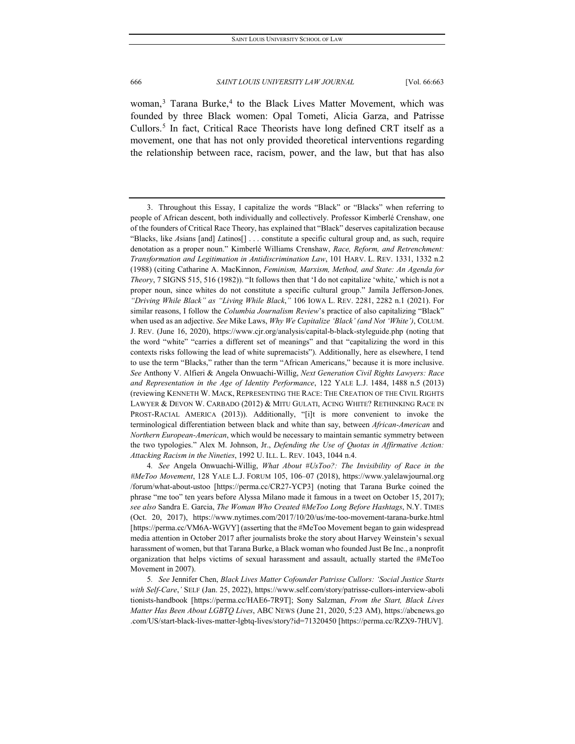<span id="page-4-3"></span>woman,<sup>[3](#page-4-0)</sup> Tarana Burke,<sup>[4](#page-4-1)</sup> to the Black Lives Matter Movement, which was founded by three Black women: Opal Tometi, Alicia Garza, and Patrisse Cullors.[5](#page-4-2) In fact, Critical Race Theorists have long defined CRT itself as a movement, one that has not only provided theoretical interventions regarding the relationship between race, racism, power, and the law, but that has also

<span id="page-4-1"></span>4*. See* Angela Onwuachi-Willig, *What About #UsToo?: The Invisibility of Race in the #MeToo Movement*, 128 YALE L.J. FORUM 105, 106–07 (2018), https://www.yalelawjournal.org /forum/what-about-ustoo [https://perma.cc/CR27-YCP3] (noting that Tarana Burke coined the phrase "me too" ten years before Alyssa Milano made it famous in a tweet on October 15, 2017); *see also* Sandra E. Garcia, *The Woman Who Created #MeToo Long Before Hashtags*, N.Y. TIMES (Oct. 20, 2017), https://www.nytimes.com/2017/10/20/us/me-too-movement-tarana-burke.html [https://perma.cc/VM6A-WGVY] (asserting that the #MeToo Movement began to gain widespread media attention in October 2017 after journalists broke the story about Harvey Weinstein's sexual harassment of women, but that Tarana Burke, a Black woman who founded Just Be Inc., a nonprofit organization that helps victims of sexual harassment and assault, actually started the #MeToo Movement in 2007).

<span id="page-4-2"></span>5*. See* Jennifer Chen, *Black Lives Matter Cofounder Patrisse Cullors: 'Social Justice Starts with Self-Care*,*'* SELF (Jan. 25, 2022), https://www.self.com/story/patrisse-cullors-interview-aboli tionists-handbook [https://perma.cc/HAE6-7R9T]; Sony Salzman, *From the Start, Black Lives Matter Has Been About LGBTQ Lives*, ABC NEWS (June 21, 2020, 5:23 AM), https://abcnews.go .com/US/start-black-lives-matter-lgbtq-lives/story?id=71320450 [https://perma.cc/RZX9-7HUV].

<span id="page-4-0"></span><sup>3.</sup> Throughout this Essay, I capitalize the words "Black" or "Blacks" when referring to people of African descent, both individually and collectively. Professor Kimberlé Crenshaw, one of the founders of Critical Race Theory, has explained that "Black" deserves capitalization because "Blacks, like *A*sians [and] *L*atinos[] . . . constitute a specific cultural group and, as such, require denotation as a proper noun." Kimberlé Williams Crenshaw, *[Race, Reform, and Retrenchment:](http://web2.westlaw.com/find/default.wl?mt=208&db=3084&tc=-1&rp=%2ffind%2fdefault.wl&findtype=Y&ordoc=0353763287&serialnum=0102054495&vr=2.0&fn=_top&sv=Split&tf=-1&referencepositiontype=S&pbc=0E2F2739&referenceposition=1332&rs=WLW12.07)  [Transformation and Legitimation in Antidiscrimination Law](http://web2.westlaw.com/find/default.wl?mt=208&db=3084&tc=-1&rp=%2ffind%2fdefault.wl&findtype=Y&ordoc=0353763287&serialnum=0102054495&vr=2.0&fn=_top&sv=Split&tf=-1&referencepositiontype=S&pbc=0E2F2739&referenceposition=1332&rs=WLW12.07)*, 101 HARV. L. REV. 1331, 1332 n.2 [\(1988\)](http://web2.westlaw.com/find/default.wl?mt=208&db=3084&tc=-1&rp=%2ffind%2fdefault.wl&findtype=Y&ordoc=0353763287&serialnum=0102054495&vr=2.0&fn=_top&sv=Split&tf=-1&referencepositiontype=S&pbc=0E2F2739&referenceposition=1332&rs=WLW12.07) (citing Catharine A. MacKinnon, *Feminism, Marxism, Method, and State: An Agenda for Theory*, 7 SIGNS 515, 516 (1982)). "It follows then that 'I do not capitalize 'white,' which is not a proper noun, since whites do not constitute a specific cultural group." Jamila Jefferson-Jones*, "Driving While Black" as "Living While Black*,*"* 106 IOWA L. REV. 2281, 2282 n.1 (2021). For similar reasons, I follow the *Columbia Journalism Review*'s practice of also capitalizing "Black" when used as an adjective. *See* Mike Laws, *Why We Capitalize 'Black' (and Not 'White')*, COLUM. J. REV. (June 16, 2020), https://www.cjr.org/analysis/capital-b-black-styleguide.php (noting that the word "white" "carries a different set of meanings" and that "capitalizing the word in this contexts risks following the lead of white supremacists"). Additionally, here as elsewhere, I tend to use the term "Blacks," rather than the term "African Americans," because it is more inclusive. *See* Anthony V. Alfieri & Angela Onwuachi-Willig, *Next Generation Civil Rights Lawyers: Race and Representation in the Age of Identity Performance*, 122 YALE L.J. 1484, 1488 n.5 (2013) (reviewing KENNETH W. MACK, REPRESENTING THE RACE: THE CREATION OF THE CIVIL RIGHTS LAWYER & DEVON W. CARBADO (2012) & MITU GULATI, ACING WHITE? RETHINKING RACE IN PROST-RACIAL AMERICA (2013)). Additionally, "[i]t is more convenient to invoke the terminological differentiation between black and white than say, between *African-American* and *Northern European-American*, which would be necessary to maintain semantic symmetry between the two typologies." Alex M. Johnson, Jr., *Defending the Use of Quotas in Affirmative Action: Attacking Racism in the Nineties*, 1992 U. ILL. L. REV. 1043, 1044 n.4.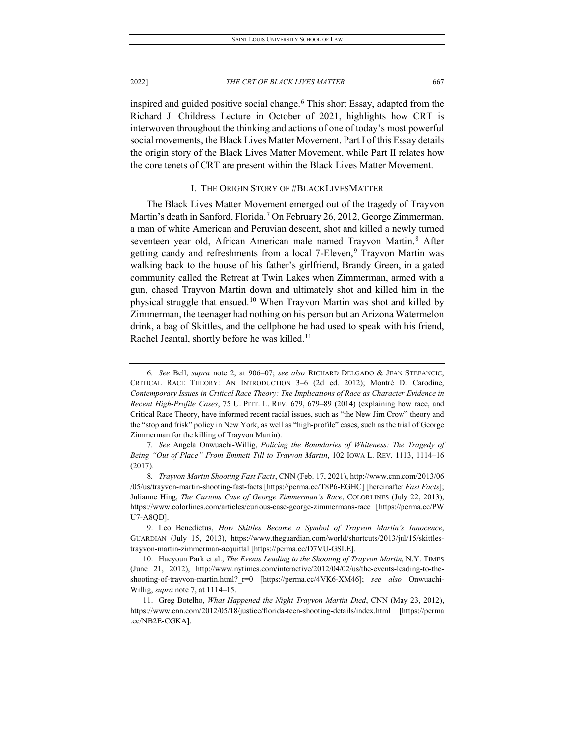inspired and guided positive social change.[6](#page-5-0) This short Essay, adapted from the Richard J. Childress Lecture in October of 2021, highlights how CRT is interwoven throughout the thinking and actions of one of today's most powerful social movements, the Black Lives Matter Movement. Part I of this Essay details the origin story of the Black Lives Matter Movement, while Part II relates how the core tenets of CRT are present within the Black Lives Matter Movement.

## <span id="page-5-6"></span>I. THE ORIGIN STORY OF #BLACKLIVESMATTER

The Black Lives Matter Movement emerged out of the tragedy of Trayvon Martin's death in Sanford, Florida.<sup>[7](#page-5-1)</sup> On February 26, 2012, George Zimmerman, a man of white American and Peruvian descent, shot and killed a newly turned seventeen year old, African American male named Trayvon Martin.<sup>[8](#page-5-2)</sup> After getting candy and refreshments from a local 7-Eleven,<sup>[9](#page-5-3)</sup> Trayvon Martin was walking back to the house of his father's girlfriend, Brandy Green, in a gated community called the Retreat at Twin Lakes when Zimmerman, armed with a gun, chased Trayvon Martin down and ultimately shot and killed him in the physical struggle that ensued.[10](#page-5-4) When Trayvon Martin was shot and killed by Zimmerman, the teenager had nothing on his person but an Arizona Watermelon drink, a bag of Skittles, and the cellphone he had used to speak with his friend, Rachel Jeantal, shortly before he was killed.<sup>[11](#page-5-5)</sup>

<span id="page-5-0"></span><sup>6</sup>*. See* Bell, *supra* note [2,](#page-3-2) at 906–07; *see also* RICHARD DELGADO & JEAN STEFANCIC, CRITICAL RACE THEORY: AN INTRODUCTION 3–6 (2d ed. 2012); Montré D. Carodine, *Contemporary Issues in Critical Race Theory: The Implications of Race as Character Evidence in Recent High-Profile Cases*, 75 U. PITT. L. REV. 679, 679–89 (2014) (explaining how race, and Critical Race Theory, have informed recent racial issues, such as "the New Jim Crow" theory and the "stop and frisk" policy in New York, as well as "high-profile" cases, such as the trial of George Zimmerman for the killing of Trayvon Martin).

<span id="page-5-1"></span><sup>7</sup>*. See* Angela Onwuachi-Willig, *Policing the Boundaries of Whiteness: The Tragedy of Being "Out of Place" From Emmett Till to Trayvon Martin*, 102 IOWA L. REV. 1113, 1114–16 (2017).

<span id="page-5-2"></span><sup>8</sup>*. Trayvon Martin Shooting Fast Facts*, CNN (Feb. 17, 2021), http://www.cnn.com/2013/06 /05/us/trayvon-martin-shooting-fast-facts [https://perma.cc/T8P6-EGHC] [hereinafter *Fast Facts*]; Julianne Hing, *The Curious Case of George Zimmerman's Race*, COLORLINES (July 22, 2013), https://www.colorlines.com/articles/curious-case-george-zimmermans-race [https://perma.cc/PW U7-A8QD].

<span id="page-5-3"></span><sup>9.</sup> Leo Benedictus, *How Skittles Became a Symbol of Trayvon Martin's Innocence*, GUARDIAN (July 15, 2013), https://www.theguardian.com/world/shortcuts/2013/jul/15/skittlestrayvon-martin-zimmerman-acquittal [https://perma.cc/D7VU-GSLE].

<span id="page-5-4"></span><sup>10.</sup> Haeyoun Park et al., *The Events Leading to the Shooting of Trayvon Martin*, N.Y. TIMES (June 21, 2012), http://www.nytimes.com/interactive/2012/04/02/us/the-events-leading-to-theshooting-of-trayvon-martin.html?\_r=0 [https://perma.cc/4VK6-XM46]; *see also* Onwuachi-Willig, *supra* note 7, at 1114–15.

<span id="page-5-5"></span><sup>11.</sup> Greg Botelho, *What Happened the Night Trayvon Martin Died*, CNN (May 23, 2012), https://www.cnn.com/2012/05/18/justice/florida-teen-shooting-details/index.html [https://perma .cc/NB2E-CGKA].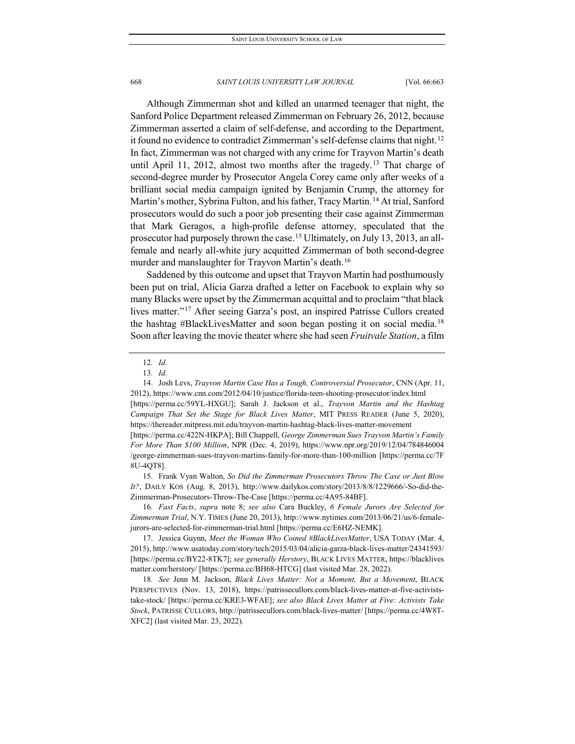Although Zimmerman shot and killed an unarmed teenager that night, the Sanford Police Department released Zimmerman on February 26, 2012, because Zimmerman asserted a claim of self-defense, and according to the Department, it found no evidence to contradict Zimmerman's self-defense claims that night.<sup>[12](#page-6-0)</sup> In fact, Zimmerman was not charged with any crime for Trayvon Martin's death until April 11, 2012, almost two months after the tragedy.<sup>[13](#page-6-1)</sup> That charge of second-degree murder by Prosecutor Angela Corey came only after weeks of a brilliant social media campaign ignited by Benjamin Crump, the attorney for Martin's mother, Sybrina Fulton, and his father, Tracy Martin.<sup>[14](#page-6-2)</sup> At trial, Sanford prosecutors would do such a poor job presenting their case against Zimmerman that Mark Geragos, a high-profile defense attorney, speculated that the prosecutor had purposely thrown the case.<sup>[15](#page-6-3)</sup> Ultimately, on July 13, 2013, an allfemale and nearly all-white jury acquitted Zimmerman of both second-degree murder and manslaughter for Trayvon Martin's death.<sup>[16](#page-6-4)</sup>

Saddened by this outcome and upset that Trayvon Martin had posthumously been put on trial, Alicia Garza drafted a letter on Facebook to explain why so many Blacks were upset by the Zimmerman acquittal and to proclaim "that black lives matter."[17](#page-6-5) After seeing Garza's post, an inspired Patrisse Cullors created the hashtag #BlackLivesMatter and soon began posting it on social media.<sup>[18](#page-6-6)</sup> Soon after leaving the movie theater where she had seen *Fruitvale Station*, a film

<span id="page-6-2"></span><span id="page-6-1"></span><span id="page-6-0"></span>14. Josh Levs, *Trayvon Martin Case Has a Tough, Controversial Prosecutor*, CNN (Apr. 11, 2012), https://www.cnn.com/2012/04/10/justice/florida-teen-shooting-prosecutor/index.html [https://perma.cc/59YL-HXGU]; Sarah J. Jackson et al., *Trayvon Martin and the Hashtag Campaign That Set the Stage for Black Lives Matter*, MIT PRESS READER (June 5, 2020), https://thereader.mitpress.mit.edu/trayvon-martin-hashtag-black-lives-matter-movement [https://perma.cc/422N-HKPA]; Bill Chappell, *George Zimmerman Sues Trayvon Martin's Family For More Than \$100 Million*, NPR (Dec. 4, 2019), https://www.npr.org/2019/12/04/784846004

/george-zimmerman-sues-trayvon-martins-family-for-more-than-100-million [https://perma.cc/7F 8U-4QT8].

<span id="page-6-3"></span>15. Frank Vyan Walton, *So Did the Zimmerman Prosecutors Throw The Case or Just Blow It?*, DAILY KOS (Aug. 8, 2013), http://www.dailykos.com/story/2013/8/8/1229666/-So-did-the-Zimmerman-Prosecutors-Throw-The-Case [https://perma.cc/4A95-84BF].

<span id="page-6-4"></span>16*. Fast Facts*, *supra* note [8;](#page-5-6) *see also* Cara Buckley, *6 Female Jurors Are Selected for Zimmerman Trial*, N.Y. TIMES (June 20, 2013), http://www.nytimes.com/2013/06/21/us/6-femalejurors-are-selected-for-zimmerman-trial.html [https://perma.cc/E6HZ-NEMK].

<span id="page-6-5"></span>17. Jessica Guynn, *Meet the Woman Who Coined #BlackLivesMatter*, USA TODAY (Mar. 4, 2015), http://www.usatoday.com/story/tech/2015/03/04/alicia-garza-black-lives-matter/24341593/ [https://perma.cc/BY22-8TK7]; *see generally Herstory*, BLACK LIVES MATTER, https://blacklives matter.com/herstory/ [https://perma.cc/BH68-HTCG] (last visited Mar. 28, 2022).

<span id="page-6-6"></span>18*. See* Jenn M. Jackson, *Black Lives Matter: Not a Moment, But a Movement*, BLACK PERSPECTIVES (Nov. 13, 2018), https://patrissecullors.com/black-lives-matter-at-five-activiststake-stock/ [https://perma.cc/KRE3-WFAE]; *see also Black Lives Matter at Five: Activists Take Stock*, PATRISSE CULLORS, http://patrissecullors.com/black-lives-matter/ [https://perma.cc/4W8T-XFC2] (last visited Mar. 23, 2022).

<sup>12</sup>*. Id.*

<sup>13</sup>*. Id.*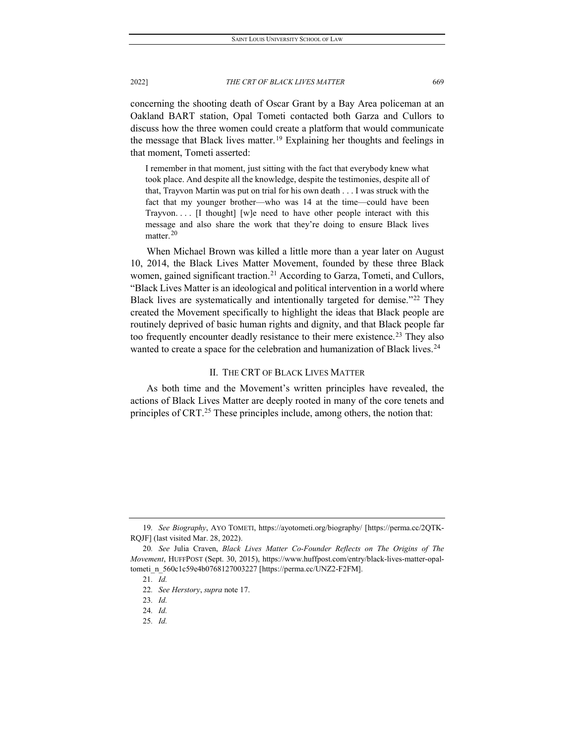concerning the shooting death of Oscar Grant by a Bay Area policeman at an Oakland BART station, Opal Tometi contacted both Garza and Cullors to discuss how the three women could create a platform that would communicate the message that Black lives matter.<sup>[19](#page-7-0)</sup> Explaining her thoughts and feelings in that moment, Tometi asserted:

I remember in that moment, just sitting with the fact that everybody knew what took place. And despite all the knowledge, despite the testimonies, despite all of that, Trayvon Martin was put on trial for his own death . . . I was struck with the fact that my younger brother—who was 14 at the time—could have been Trayvon. . . . [I thought] [w]e need to have other people interact with this message and also share the work that they're doing to ensure Black lives matter. $^{20}$  $^{20}$  $^{20}$ 

When Michael Brown was killed a little more than a year later on August 10, 2014, the Black Lives Matter Movement, founded by these three Black women, gained significant traction.<sup>[21](#page-7-2)</sup> According to Garza, Tometi, and Cullors, "Black Lives Matter is an ideological and political intervention in a world where Black lives are systematically and intentionally targeted for demise."[22](#page-7-3) They created the Movement specifically to highlight the ideas that Black people are routinely deprived of basic human rights and dignity, and that Black people far too frequently encounter deadly resistance to their mere existence.<sup>[23](#page-7-4)</sup> They also wanted to create a space for the celebration and humanization of Black lives.<sup>[24](#page-7-5)</sup>

## II. THE CRT OF BLACK LIVES MATTER

As both time and the Movement's written principles have revealed, the actions of Black Lives Matter are deeply rooted in many of the core tenets and principles of CRT.<sup>[25](#page-7-6)</sup> These principles include, among others, the notion that:

<span id="page-7-0"></span><sup>19</sup>*. See Biography*, AYO TOMETI, https://ayotometi.org/biography/ [https://perma.cc/2QTK-RQJF] (last visited Mar. 28, 2022).

<span id="page-7-4"></span><span id="page-7-3"></span><span id="page-7-2"></span><span id="page-7-1"></span><sup>20</sup>*. See* Julia Craven, *Black Lives Matter Co-Founder Reflects on The Origins of The Movement*, HUFFPOST (Sept. 30, 2015), https://www.huffpost.com/entry/black-lives-matter-opaltometi\_n\_560c1c59e4b0768127003227 [https://perma.cc/UNZ2-F2FM].

<sup>21</sup>*. Id.*

<sup>22</sup>*. See Herstory*, *supra* note 17.

<sup>23</sup>*. Id.*

<span id="page-7-5"></span><sup>24</sup>*. Id.*

<span id="page-7-6"></span><sup>25</sup>*. Id.*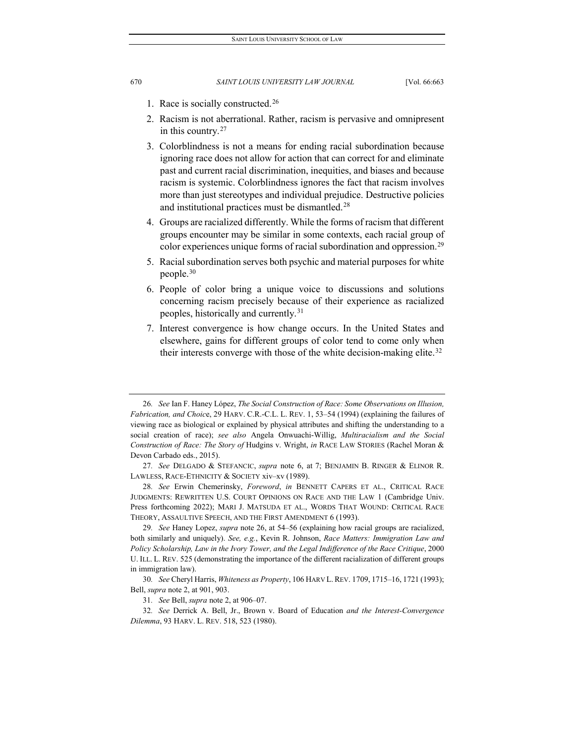- <span id="page-8-0"></span>1. Race is socially constructed.[26](#page-8-1)
- 2. Racism is not aberrational. Rather, racism is pervasive and omnipresent in this country.[27](#page-8-2)
- 3. Colorblindness is not a means for ending racial subordination because ignoring race does not allow for action that can correct for and eliminate past and current racial discrimination, inequities, and biases and because racism is systemic. Colorblindness ignores the fact that racism involves more than just stereotypes and individual prejudice. Destructive policies and institutional practices must be dismantled.[28](#page-8-3)
- 4. Groups are racialized differently. While the forms of racism that different groups encounter may be similar in some contexts, each racial group of color experiences unique forms of racial subordination and oppression.[29](#page-8-4)
- 5. Racial subordination serves both psychic and material purposes for white people.[30](#page-8-5)
- 6. People of color bring a unique voice to discussions and solutions concerning racism precisely because of their experience as racialized peoples, historically and currently.[31](#page-8-6)
- 7. Interest convergence is how change occurs. In the United States and elsewhere, gains for different groups of color tend to come only when their interests converge with those of the white decision-making elite.<sup>[32](#page-8-7)</sup>

<span id="page-8-1"></span><sup>26</sup>*. See* Ian F. Haney López, *The Social Construction of Race: Some Observations on Illusion, Fabrication, and Choic*e, 29 HARV. C.R.-C.L. L. REV. 1, 53–54 (1994) (explaining the failures of viewing race as biological or explained by physical attributes and shifting the understanding to a social creation of race); *see also* Angela Onwuachi-Willig, *Multiracialism and the Social Construction of Race: The Story of* Hudgins v. Wright, *in* RACE LAW STORIES (Rachel Moran & Devon Carbado eds., 2015).

<span id="page-8-2"></span><sup>27</sup>*. See* DELGADO & STEFANCIC, *supra* note 6, at 7; BENJAMIN B. RINGER & ELINOR R. LAWLESS, RACE-ETHNICITY & SOCIETY xiv–xv (1989).

<span id="page-8-3"></span><sup>28</sup>*. See* Erwin Chemerinsky, *Foreword*, *in* BENNETT CAPERS ET AL., CRITICAL RACE JUDGMENTS: REWRITTEN U.S. COURT OPINIONS ON RACE AND THE LAW 1 (Cambridge Univ. Press forthcoming 2022); MARI J. MATSUDA ET AL., WORDS THAT WOUND: CRITICAL RACE THEORY, ASSAULTIVE SPEECH, AND THE FIRST AMENDMENT 6 (1993).

<span id="page-8-4"></span><sup>29</sup>*. See* Haney Lopez, *supra* note [26,](#page-8-0) at 54–56 (explaining how racial groups are racialized, both similarly and uniquely). *See, e.g.*, Kevin R. Johnson, *Race Matters: Immigration Law and Policy Scholarship, Law in the Ivory Tower, and the Legal Indifference of the Race Critique*, 2000 U. ILL. L. REV. 525 (demonstrating the importance of the different racialization of different groups in immigration law).

<span id="page-8-5"></span><sup>30</sup>*. See* Cheryl Harris, *Whiteness as Property*, 106 HARV L.REV. 1709, 1715–16, 1721 (1993); Bell, *supra* note 2, at 901, 903.

<sup>31</sup>*. See* Bell, *supra* not[e 2,](#page-3-2) at 906–07.

<span id="page-8-7"></span><span id="page-8-6"></span><sup>32</sup>*. See* Derrick A. Bell, Jr., Brown v. Board of Education *and the Interest-Convergence Dilemma*, 93 HARV. L. REV. 518, 523 (1980).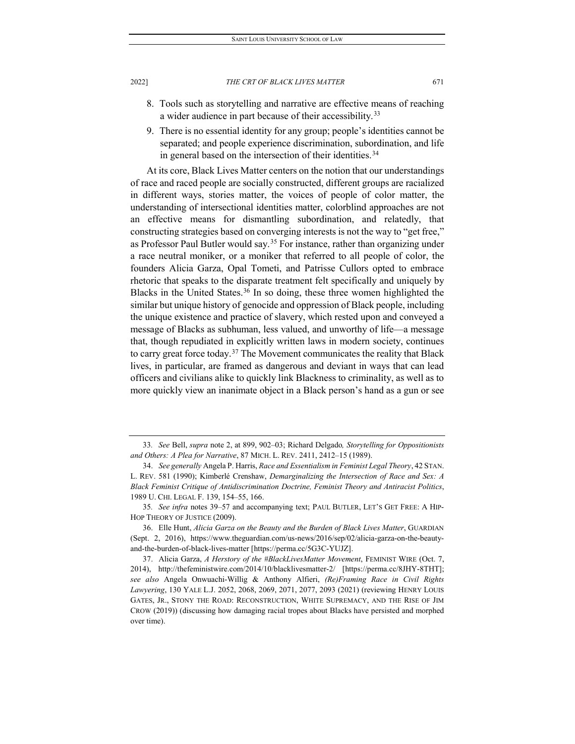- 8. Tools such as storytelling and narrative are effective means of reaching a wider audience in part because of their accessibility.<sup>[33](#page-9-0)</sup>
- 9. There is no essential identity for any group; people's identities cannot be separated; and people experience discrimination, subordination, and life in general based on the intersection of their identities.<sup>[34](#page-9-1)</sup>

At its core, Black Lives Matter centers on the notion that our understandings of race and raced people are socially constructed, different groups are racialized in different ways, stories matter, the voices of people of color matter, the understanding of intersectional identities matter, colorblind approaches are not an effective means for dismantling subordination, and relatedly, that constructing strategies based on converging interests is not the way to "get free," as Professor Paul Butler would say.<sup>[35](#page-9-2)</sup> For instance, rather than organizing under a race neutral moniker, or a moniker that referred to all people of color, the founders Alicia Garza, Opal Tometi, and Patrisse Cullors opted to embrace rhetoric that speaks to the disparate treatment felt specifically and uniquely by Blacks in the United States.<sup>[36](#page-9-3)</sup> In so doing, these three women highlighted the similar but unique history of genocide and oppression of Black people, including the unique existence and practice of slavery, which rested upon and conveyed a message of Blacks as subhuman, less valued, and unworthy of life—a message that, though repudiated in explicitly written laws in modern society, continues to carry great force today.<sup>[37](#page-9-4)</sup> The Movement communicates the reality that Black lives, in particular, are framed as dangerous and deviant in ways that can lead officers and civilians alike to quickly link Blackness to criminality, as well as to more quickly view an inanimate object in a Black person's hand as a gun or see

<span id="page-9-0"></span><sup>33</sup>*. See* Bell, *supra* note [2,](#page-3-2) at 899, 902–03; Richard Delgado*, Storytelling for Oppositionists and Others: A Plea for Narrative*, 87 MICH. L. REV. 2411, 2412–15 (1989).

<span id="page-9-1"></span><sup>34.</sup> *See generally* Angela P. Harris, *Race and Essentialism in Feminist Legal Theory*, 42 STAN. L. REV. 581 (1990); Kimberlé Crenshaw, *Demarginalizing the Intersection of Race and Sex: A Black Feminist Critique of Antidiscrimination Doctrine, Feminist Theory and Antiracist Politics*, 1989 U. CHI. LEGAL F. 139, 154–55, 166.

<span id="page-9-2"></span><sup>35</sup>*. See infra* notes 39–57 and accompanying text; PAUL BUTLER, LET'S GET FREE: A HIP-HOP THEORY OF JUSTICE (2009).

<span id="page-9-3"></span><sup>36.</sup> Elle Hunt, *Alicia Garza on the Beauty and the Burden of Black Lives Matter*, GUARDIAN (Sept. 2, 2016), https://www.theguardian.com/us-news/2016/sep/02/alicia-garza-on-the-beautyand-the-burden-of-black-lives-matter [https://perma.cc/5G3C-YUJZ].

<span id="page-9-4"></span><sup>37.</sup> Alicia Garza, *A Herstory of the #BlackLivesMatter Movement*, FEMINIST WIRE (Oct. 7, 2014), http://thefeministwire.com/2014/10/blacklivesmatter-2/ [https://perma.cc/8JHY-8THT]; *see also* Angela Onwuachi-Willig & Anthony Alfieri, *(Re)Framing Race in Civil Rights Lawyering*, 130 YALE L.J. 2052, 2068, 2069, 2071, 2077, 2093 (2021) (reviewing HENRY LOUIS GATES, JR., STONY THE ROAD: RECONSTRUCTION, WHITE SUPREMACY, AND THE RISE OF JIM CROW (2019)) (discussing how damaging racial tropes about Blacks have persisted and morphed over time).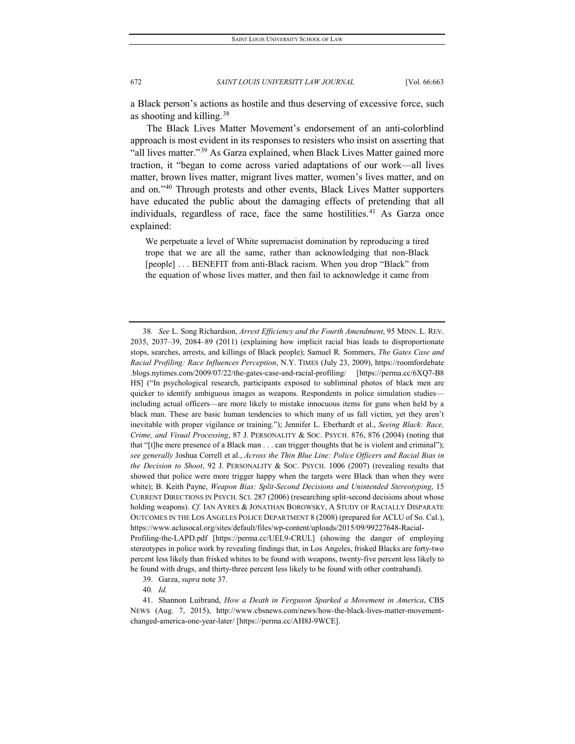a Black person's actions as hostile and thus deserving of excessive force, such as shooting and killing.  $38$ 

The Black Lives Matter Movement's endorsement of an anti-colorblind approach is most evident in its responses to resisters who insist on asserting that "all lives matter."[39](#page-10-1) As Garza explained, when Black Lives Matter gained more traction, it "began to come across varied adaptations of our work—all lives matter, brown lives matter, migrant lives matter, women's lives matter, and on and on."[40](#page-10-2) Through protests and other events, Black Lives Matter supporters have educated the public about the damaging effects of pretending that all individuals, regardless of race, face the same hostilities.<sup>[41](#page-10-3)</sup> As Garza once explained:

We perpetuate a level of White supremacist domination by reproducing a tired trope that we are all the same, rather than acknowledging that non-Black [people] . . . BENEFIT from anti-Black racism. When you drop "Black" from the equation of whose lives matter, and then fail to acknowledge it came from

<span id="page-10-0"></span><sup>38</sup>*. See* L. Song Richardson, *Arrest Efficiency and the Fourth Amendment*, 95 MINN. L. REV. 2035, 2037–39, 2084–89 (2011) (explaining how implicit racial bias leads to disproportionate stops, searches, arrests, and killings of Black people); Samuel R. Sommers, *The Gates Case and Racial Profiling: Race Influences Perception*, N.Y. TIMES (July 23, 2009), https://roomfordebate .blogs.nytimes.com/2009/07/22/the-gates-case-and-racial-profiling/ [https://perma.cc/6XQ7-B8 HS] ("In psychological research, participants exposed to subliminal photos of black men are quicker to identify ambiguous images as weapons. Respondents in police simulation studies including actual officers—are more likely to mistake innocuous items for guns when held by a black man. These are basic human tendencies to which many of us fall victim, yet they aren't inevitable with proper vigilance or training."); Jennifer L. Eberhardt et al., *Seeing Black: Race, Crime, and Visual Processing*, 87 J. PERSONALITY & SOC. PSYCH. 876, 876 (2004) (noting that that "[t]he mere presence of a Black man . . . can trigger thoughts that he is violent and criminal"); *see generally* Joshua Correll et al., *Across the Thin Blue Line: Police Officers and Racial Bias in the Decision to Shoot*, 92 J. PERSONALITY & SOC. PSYCH. 1006 (2007) (revealing results that showed that police were more trigger happy when the targets were Black than when they were white); B. Keith Payne, *Weapon Bias: Split-Second Decisions and Unintended Stereotyping*, 15 CURRENT DIRECTIONS IN PSYCH. SCI. 287 (2006) (researching split-second decisions about whose holding weapons). *Cf.* IAN AYRES & JONATHAN BOROWSKY, A STUDY OF RACIALLY DISPARATE OUTCOMES IN THE LOS ANGELES POLICE DEPARTMENT 8 (2008) (prepared for ACLU of So. Cal.), https://www.aclusocal.org/sites/default/files/wp-content/uploads/2015/09/99227648-Racial-Profiling-the-LAPD.pdf [https://perma.cc/UEL9-CRUL] (showing the danger of employing stereotypes in police work by revealing findings that, in Los Angeles, frisked Blacks are forty-two percent less likely than frisked whites to be found with weapons, twenty-five percent less likely to be found with drugs, and thirty-three percent less likely to be found with other contraband).

<sup>39.</sup> Garza, *supra* note 37.

<sup>40</sup>*. Id.*

<span id="page-10-3"></span><span id="page-10-2"></span><span id="page-10-1"></span><sup>41.</sup> Shannon Luibrand, *How a Death in Ferguson Sparked a Movement in America*, CBS NEWS (Aug. 7, 2015), http://www.cbsnews.com/news/how-the-black-lives-matter-movementchanged-america-one-year-later/ [https://perma.cc/AH8J-9WCE].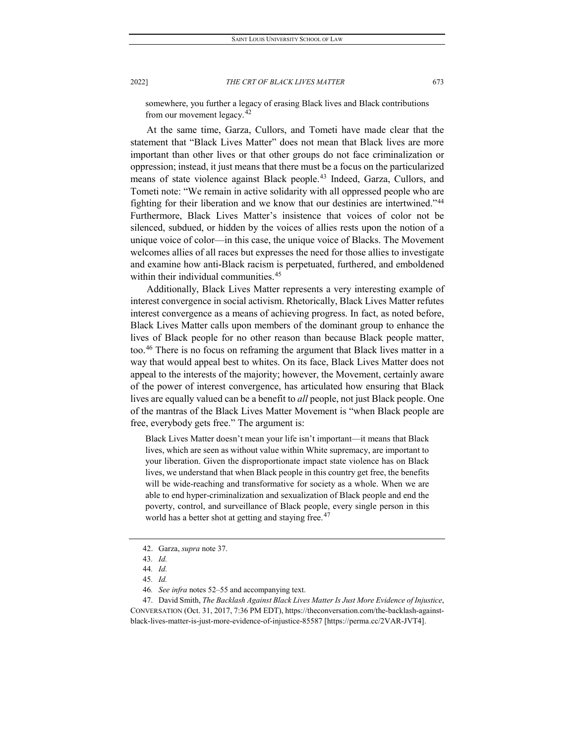somewhere, you further a legacy of erasing Black lives and Black contributions from our movement legacy. $42$ 

At the same time, Garza, Cullors, and Tometi have made clear that the statement that "Black Lives Matter" does not mean that Black lives are more important than other lives or that other groups do not face criminalization or oppression; instead, it just means that there must be a focus on the particularized means of state violence against Black people.<sup>[43](#page-11-1)</sup> Indeed, Garza, Cullors, and Tometi note: "We remain in active solidarity with all oppressed people who are fighting for their liberation and we know that our destinies are intertwined."[44](#page-11-2) Furthermore, Black Lives Matter's insistence that voices of color not be silenced, subdued, or hidden by the voices of allies rests upon the notion of a unique voice of color—in this case, the unique voice of Blacks. The Movement welcomes allies of all races but expresses the need for those allies to investigate and examine how anti-Black racism is perpetuated, furthered, and emboldened within their individual communities.<sup>[45](#page-11-3)</sup>

Additionally, Black Lives Matter represents a very interesting example of interest convergence in social activism. Rhetorically, Black Lives Matter refutes interest convergence as a means of achieving progress. In fact, as noted before, Black Lives Matter calls upon members of the dominant group to enhance the lives of Black people for no other reason than because Black people matter, too.[46](#page-11-4) There is no focus on reframing the argument that Black lives matter in a way that would appeal best to whites. On its face, Black Lives Matter does not appeal to the interests of the majority; however, the Movement, certainly aware of the power of interest convergence, has articulated how ensuring that Black lives are equally valued can be a benefit to *all* people, not just Black people. One of the mantras of the Black Lives Matter Movement is "when Black people are free, everybody gets free." The argument is:

Black Lives Matter doesn't mean your life isn't important—it means that Black lives, which are seen as without value within White supremacy, are important to your liberation. Given the disproportionate impact state violence has on Black lives, we understand that when Black people in this country get free, the benefits will be wide-reaching and transformative for society as a whole. When we are able to end hyper-criminalization and sexualization of Black people and end the poverty, control, and surveillance of Black people, every single person in this world has a better shot at getting and staying free.<sup>[47](#page-11-5)</sup>

<span id="page-11-5"></span><span id="page-11-4"></span><span id="page-11-3"></span><span id="page-11-2"></span><span id="page-11-1"></span><span id="page-11-0"></span>47. David Smith, *The Backlash Against Black Lives Matter Is Just More Evidence of Injustice*, CONVERSATION (Oct. 31, 2017, 7:36 PM EDT), https://theconversation.com/the-backlash-againstblack-lives-matter-is-just-more-evidence-of-injustice-85587 [https://perma.cc/2VAR-JVT4].

<sup>42.</sup> Garza, *supra* note 37.

<sup>43</sup>*. Id.*

<sup>44</sup>*. Id.*

<sup>45</sup>*. Id.*

<sup>46</sup>*. See infra* notes 52–55 and accompanying text.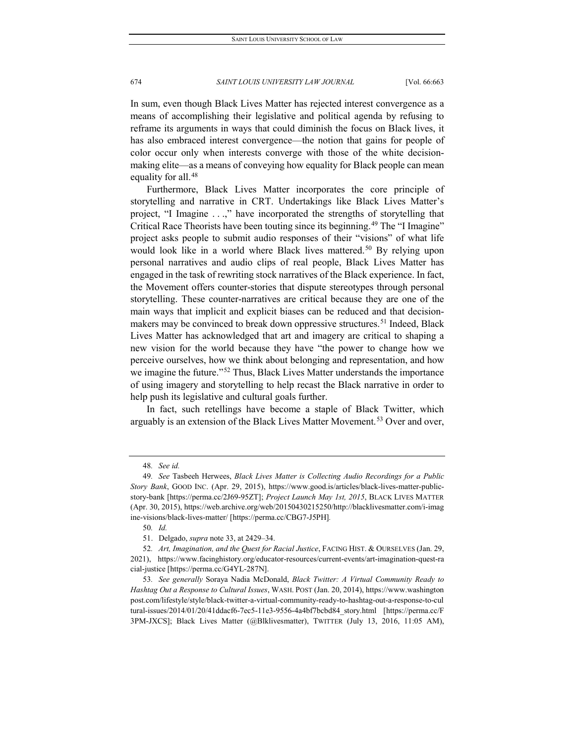In sum, even though Black Lives Matter has rejected interest convergence as a means of accomplishing their legislative and political agenda by refusing to reframe its arguments in ways that could diminish the focus on Black lives, it has also embraced interest convergence—the notion that gains for people of color occur only when interests converge with those of the white decisionmaking elite—as a means of conveying how equality for Black people can mean equality for all.<sup>[48](#page-12-0)</sup>

Furthermore, Black Lives Matter incorporates the core principle of storytelling and narrative in CRT. Undertakings like Black Lives Matter's project, "I Imagine . . .," have incorporated the strengths of storytelling that Critical Race Theorists have been touting since its beginning.[49](#page-12-1) The "I Imagine" project asks people to submit audio responses of their "visions" of what life would look like in a world where Black lives mattered.<sup>[50](#page-12-2)</sup> By relying upon personal narratives and audio clips of real people, Black Lives Matter has engaged in the task of rewriting stock narratives of the Black experience. In fact, the Movement offers counter-stories that dispute stereotypes through personal storytelling. These counter-narratives are critical because they are one of the main ways that implicit and explicit biases can be reduced and that decision-makers may be convinced to break down oppressive structures.<sup>[51](#page-12-3)</sup> Indeed, Black Lives Matter has acknowledged that art and imagery are critical to shaping a new vision for the world because they have "the power to change how we perceive ourselves, how we think about belonging and representation, and how we imagine the future."<sup>[52](#page-12-4)</sup> Thus, Black Lives Matter understands the importance of using imagery and storytelling to help recast the Black narrative in order to help push its legislative and cultural goals further.

In fact, such retellings have become a staple of Black Twitter, which arguably is an extension of the Black Lives Matter Movement.<sup>[53](#page-12-5)</sup> Over and over,

<sup>48</sup>*. See id.*

<span id="page-12-1"></span><span id="page-12-0"></span><sup>49</sup>*. See* Tasbeeh Herwees, *Black Lives Matter is Collecting Audio Recordings for a Public Story Bank*, GOOD INC. (Apr. 29, 2015), https://www.good.is/articles/black-lives-matter-publicstory-bank [https://perma.cc/2J69-95ZT]; *Project Launch May 1st, 2015*, BLACK LIVES MATTER (Apr. 30, 2015), https://web.archive.org/web/20150430215250/http://blacklivesmatter.com/i-imag ine-visions/black-lives-matter/ [https://perma.cc/CBG7-J5PH]*.*

<sup>50</sup>*. Id.*

<sup>51.</sup> Delgado, *supra* note 33, at 2429–34.

<span id="page-12-4"></span><span id="page-12-3"></span><span id="page-12-2"></span><sup>52</sup>*. Art, Imagination, and the Quest for Racial Justice*, FACING HIST. & OURSELVES (Jan. 29, 2021), https://www.facinghistory.org/educator-resources/current-events/art-imagination-quest-ra cial-justice [https://perma.cc/G4YL-287N].

<span id="page-12-5"></span><sup>53</sup>*. See generally* Soraya Nadia McDonald, *Black Twitter: A Virtual Community Ready to Hashtag Out a Response to Cultural Issues*, WASH. POST (Jan. 20, 2014), https://www.washington post.com/lifestyle/style/black-twitter-a-virtual-community-ready-to-hashtag-out-a-response-to-cul tural-issues/2014/01/20/41ddacf6-7ec5-11e3-9556-4a4bf7bcbd84\_story.html [https://perma.cc/F 3PM-JXCS]; Black Lives Matter (@Blklivesmatter), TWITTER (July 13, 2016, 11:05 AM),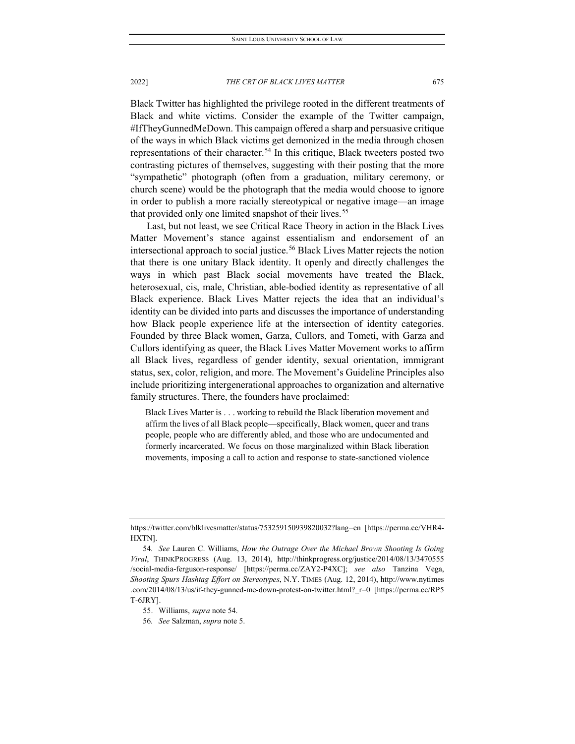Black Twitter has highlighted the privilege rooted in the different treatments of Black and white victims. Consider the example of the Twitter campaign, #IfTheyGunnedMeDown. This campaign offered a sharp and persuasive critique of the ways in which Black victims get demonized in the media through chosen representations of their character.<sup>[54](#page-13-0)</sup> In this critique, Black tweeters posted two contrasting pictures of themselves, suggesting with their posting that the more "sympathetic" photograph (often from a graduation, military ceremony, or church scene) would be the photograph that the media would choose to ignore in order to publish a more racially stereotypical or negative image—an image that provided only one limited snapshot of their lives.<sup>[55](#page-13-1)</sup>

Last, but not least, we see Critical Race Theory in action in the Black Lives Matter Movement's stance against essentialism and endorsement of an intersectional approach to social justice.<sup>[56](#page-13-2)</sup> Black Lives Matter rejects the notion that there is one unitary Black identity. It openly and directly challenges the ways in which past Black social movements have treated the Black, heterosexual, cis, male, Christian, able-bodied identity as representative of all Black experience. Black Lives Matter rejects the idea that an individual's identity can be divided into parts and discusses the importance of understanding how Black people experience life at the intersection of identity categories. Founded by three Black women, Garza, Cullors, and Tometi, with Garza and Cullors identifying as queer, the Black Lives Matter Movement works to affirm all Black lives, regardless of gender identity, sexual orientation, immigrant status, sex, color, religion, and more. The Movement's Guideline Principles also include prioritizing intergenerational approaches to organization and alternative family structures. There, the founders have proclaimed:

Black Lives Matter is . . . working to rebuild the Black liberation movement and affirm the lives of all Black people—specifically, Black women, queer and trans people, people who are differently abled, and those who are undocumented and formerly incarcerated. We focus on those marginalized within Black liberation movements, imposing a call to action and response to state-sanctioned violence

https://twitter.com/blklivesmatter/status/753259150939820032?lang=en [https://perma.cc/VHR4- HXTN].

<span id="page-13-0"></span><sup>54</sup>*. See* Lauren C. Williams, *How the Outrage Over the Michael Brown Shooting Is Going Viral*, THINKPROGRESS (Aug. 13, 2014), http://thinkprogress.org/justice/2014/08/13/3470555 /social-media-ferguson-response/ [https://perma.cc/ZAY2-P4XC]; *see also* Tanzina Vega, *Shooting Spurs Hashtag Effort on Stereotypes*, N.Y. TIMES (Aug. 12, 2014), http://www.nytimes .com/2014/08/13/us/if-they-gunned-me-down-protest-on-twitter.html?\_r=0 [https://perma.cc/RP5 T-6JRY].

<sup>55.</sup> Williams, *supra* note 54.

<span id="page-13-2"></span><span id="page-13-1"></span><sup>56</sup>*. See* Salzman, *supra* not[e 5.](#page-4-3)